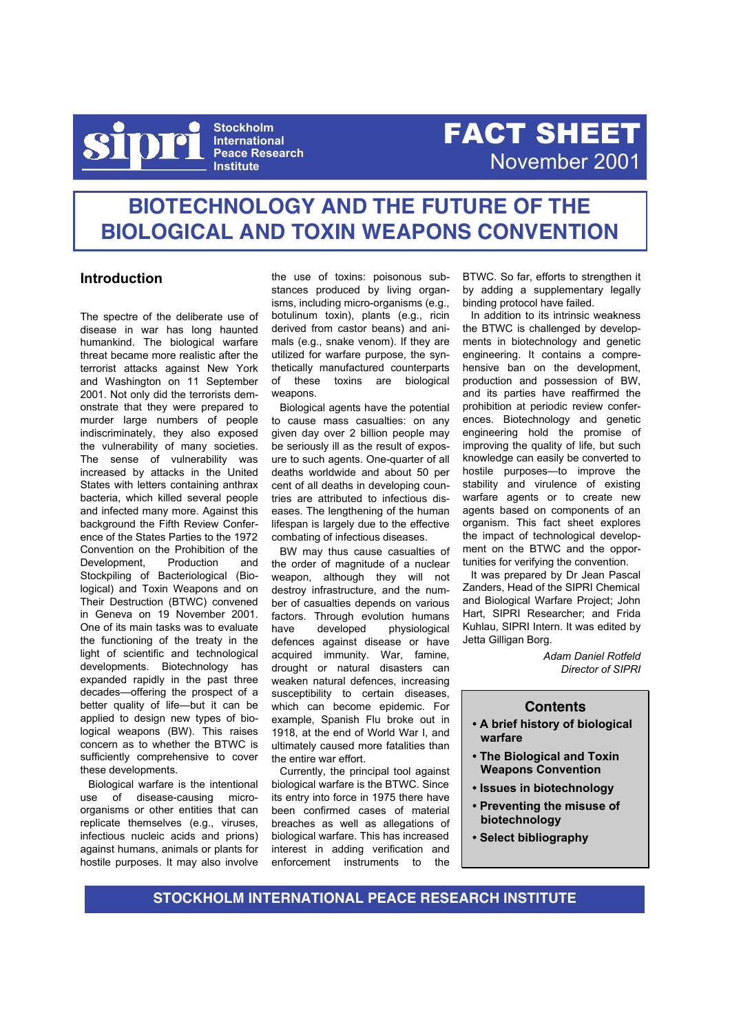

**Stockholm International Peace Research Institute**

# FACT SHEET November 2001

# **BIOTECHNOLOGY AND THE FUTURE OF THE BIOLOGICAL AND TOXIN WEAPONS CONVENTION**

# **Introduction**

The spectre of the deliberate use of disease in war has long haunted humankind. The biological warfare threat became more realistic after the terrorist attacks against New York and Washington on 11 September 2001. Not only did the terrorists demonstrate that they were prepared to murder large numbers of people indiscriminately, they also exposed the vulnerability of many societies. The sense of vulnerability was increased by attacks in the United States with letters containing anthrax bacteria, which killed several people and infected many more. Against this background the Fifth Review Conference of the States Parties to the 1972 Convention on the Prohibition of the Development Production and Stockpiling of Bacteriological (Biological) and Toxin Weapons and on Their Destruction (BTWC) convened in Geneva on 19 November 2001. One of its main tasks was to evaluate the functioning of the treaty in the light of scientific and technological developments. Biotechnology has expanded rapidly in the past three decades—offering the prospect of a better quality of life—but it can be applied to design new types of biological weapons (BW). This raises concern as to whether the BTWC is sufficiently comprehensive to cover these developments.

Biological warfare is the intentional use of disease-causing microorganisms or other entities that can replicate themselves (e.g., viruses, infectious nucleic acids and prions) against humans, animals or plants for hostile purposes. It may also involve

the use of toxins: poisonous substances produced by living organisms, including micro-organisms (e.g., botulinum toxin), plants (e.g., ricin derived from castor beans) and animals (e.g., snake venom). If they are utilized for warfare purpose, the synthetically manufactured counterparts of these toxins are biological weapons.

Biological agents have the potential to cause mass casualties: on any given day over 2 billion people may be seriously ill as the result of exposure to such agents. One-quarter of all deaths worldwide and about 50 per cent of all deaths in developing countries are attributed to infectious diseases. The lengthening of the human lifespan is largely due to the effective combating of infectious diseases.

BW may thus cause casualties of the order of magnitude of a nuclear weapon, although they will not destroy infrastructure, and the number of casualties depends on various factors. Through evolution humans have developed physiological defences against disease or have acquired immunity. War, famine, drought or natural disasters can weaken natural defences, increasing susceptibility to certain diseases, which can become epidemic. For example, Spanish Flu broke out in 1918, at the end of World War I, and ultimately caused more fatalities than the entire war effort.

Currently, the principal tool against biological warfare is the BTWC. Since its entry into force in 1975 there have been confirmed cases of material breaches as well as allegations of biological warfare. This has increased interest in adding verification and enforcement instruments to the

BTWC. So far, efforts to strengthen it by adding a supplementary legally binding protocol have failed.

In addition to its intrinsic weakness the BTWC is challenged by developments in biotechnology and genetic engineering. It contains a comprehensive ban on the development, production and possession of BW, and its parties have reaffirmed the prohibition at periodic review conferences. Biotechnology and genetic engineering hold the promise of improving the quality of life, but such knowledge can easily be converted to hostile purposes—to improve the stability and virulence of existing warfare agents or to create new agents based on components of an organism. This fact sheet explores the impact of technological development on the BTWC and the opportunities for verifying the convention.

It was prepared by Dr Jean Pascal Zanders, Head of the SIPRI Chemical and Biological Warfare Project; John Hart, SIPRI Researcher; and Frida Kuhlau, SIPRI Intern. It was edited by Jetta Gilligan Borg.

> *Adam Daniel Rotfeld Director of SIPRI*

# **Contents**

- **A brief history of biological warfare**
- **The Biological and Toxin Weapons Convention**
- **Issues in biotechnology**
- **Preventing the misuse of biotechnology**
- **Select bibliography**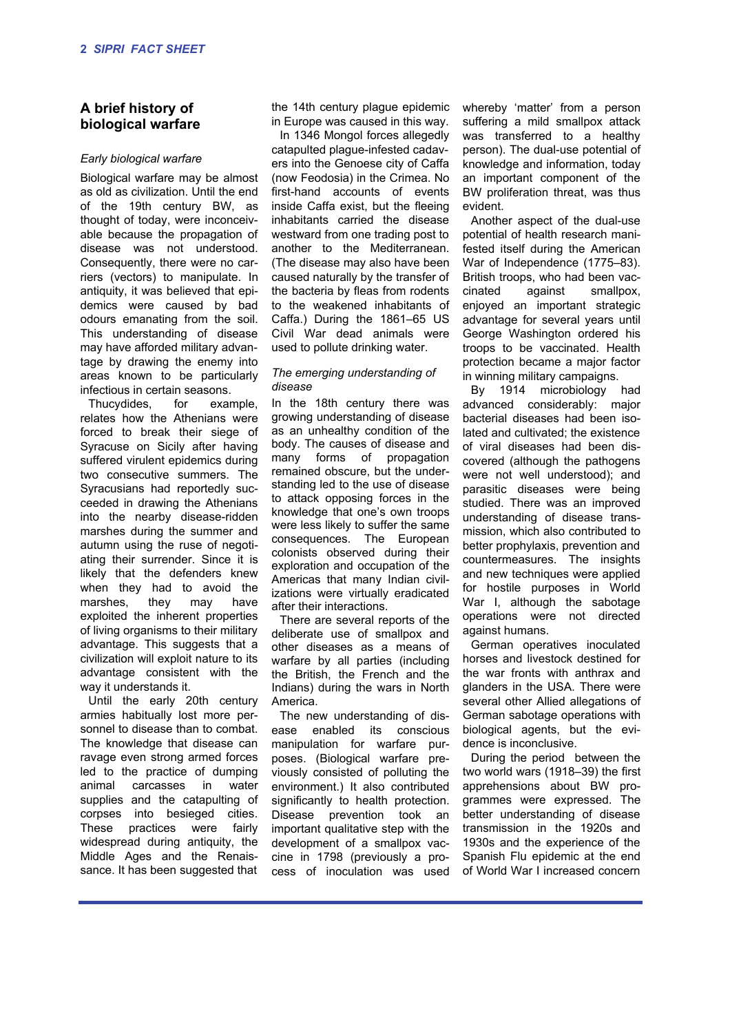# **A brief history of biological warfare**

#### *Early biological warfare*

Biological warfare may be almost as old as civilization. Until the end of the 19th century BW, as thought of today, were inconceivable because the propagation of disease was not understood. Consequently, there were no carriers (vectors) to manipulate. In antiquity, it was believed that epidemics were caused by bad odours emanating from the soil. This understanding of disease may have afforded military advantage by drawing the enemy into areas known to be particularly infectious in certain seasons.

Thucydides, for example, relates how the Athenians were forced to break their siege of Syracuse on Sicily after having suffered virulent epidemics during two consecutive summers. The Syracusians had reportedly succeeded in drawing the Athenians into the nearby disease-ridden marshes during the summer and autumn using the ruse of negotiating their surrender. Since it is likely that the defenders knew when they had to avoid the marshes, they may have exploited the inherent properties of living organisms to their military advantage. This suggests that a civilization will exploit nature to its advantage consistent with the way it understands it.

Until the early 20th century armies habitually lost more personnel to disease than to combat. The knowledge that disease can ravage even strong armed forces led to the practice of dumping animal carcasses in water supplies and the catapulting of corpses into besieged cities. These practices were fairly widespread during antiquity, the Middle Ages and the Renaissance. It has been suggested that the 14th century plague epidemic in Europe was caused in this way.

In 1346 Mongol forces allegedly catapulted plague-infested cadavers into the Genoese city of Caffa (now Feodosia) in the Crimea. No first-hand accounts of events inside Caffa exist, but the fleeing inhabitants carried the disease westward from one trading post to another to the Mediterranean. (The disease may also have been caused naturally by the transfer of the bacteria by fleas from rodents to the weakened inhabitants of Caffa.) During the 1861–65 US Civil War dead animals were used to pollute drinking water.

#### *The emerging understanding of disease*

In the 18th century there was growing understanding of disease as an unhealthy condition of the body. The causes of disease and many forms of propagation remained obscure, but the understanding led to the use of disease to attack opposing forces in the knowledge that one's own troops were less likely to suffer the same consequences. The European colonists observed during their exploration and occupation of the Americas that many Indian civilizations were virtually eradicated after their interactions.

There are several reports of the deliberate use of smallpox and other diseases as a means of warfare by all parties (including the British, the French and the Indians) during the wars in North America.

The new understanding of disease enabled its conscious manipulation for warfare purposes. (Biological warfare previously consisted of polluting the environment.) It also contributed significantly to health protection. Disease prevention took an important qualitative step with the development of a smallpox vaccine in 1798 (previously a process of inoculation was used

whereby 'matter' from a person suffering a mild smallpox attack was transferred to a healthy person). The dual-use potential of knowledge and information, today an important component of the BW proliferation threat, was thus evident.

Another aspect of the dual-use potential of health research manifested itself during the American War of Independence (1775–83). British troops, who had been vaccinated against smallpox, enjoyed an important strategic advantage for several years until George Washington ordered his troops to be vaccinated. Health protection became a major factor in winning military campaigns.

By 1914 microbiology had advanced considerably: major bacterial diseases had been isolated and cultivated; the existence of viral diseases had been discovered (although the pathogens were not well understood); and parasitic diseases were being studied. There was an improved understanding of disease transmission, which also contributed to better prophylaxis, prevention and countermeasures. The insights and new techniques were applied for hostile purposes in World War I, although the sabotage operations were not directed against humans.

German operatives inoculated horses and livestock destined for the war fronts with anthrax and glanders in the USA. There were several other Allied allegations of German sabotage operations with biological agents, but the evidence is inconclusive.

During the period between the two world wars (1918–39) the first apprehensions about BW programmes were expressed. The better understanding of disease transmission in the 1920s and 1930s and the experience of the Spanish Flu epidemic at the end of World War I increased concern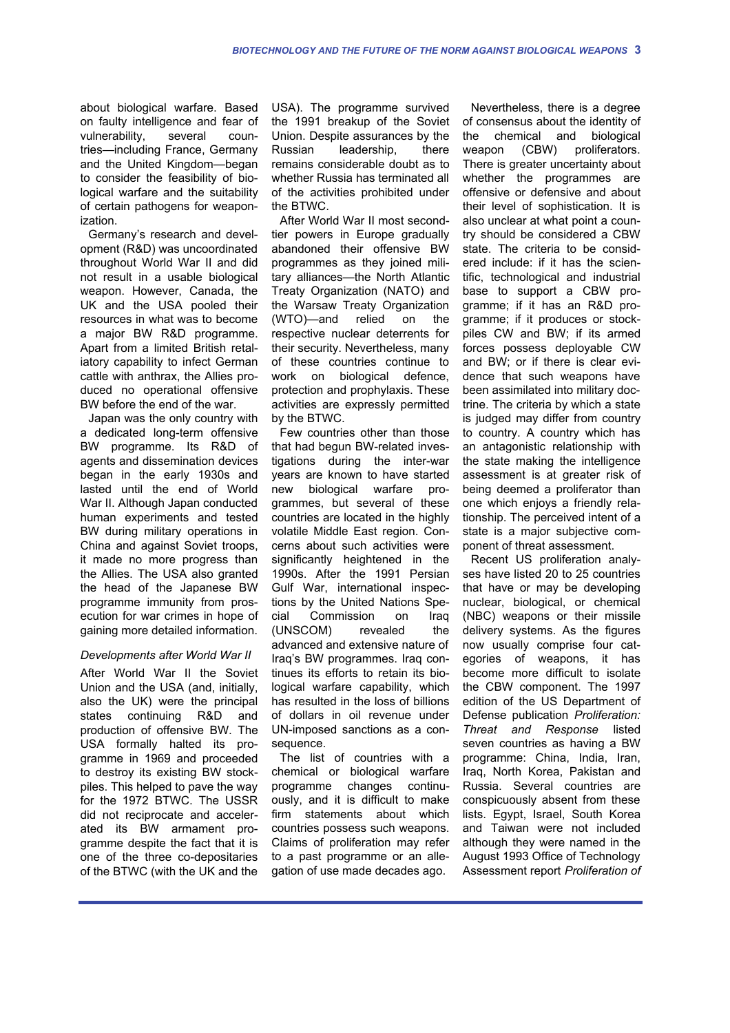about biological warfare. Based on faulty intelligence and fear of vulnerability, several countries—including France, Germany and the United Kingdom—began to consider the feasibility of biological warfare and the suitability of certain pathogens for weaponization.

Germany's research and development (R&D) was uncoordinated throughout World War II and did not result in a usable biological weapon. However, Canada, the UK and the USA pooled their resources in what was to become a major BW R&D programme. Apart from a limited British retaliatory capability to infect German cattle with anthrax, the Allies produced no operational offensive BW before the end of the war.

Japan was the only country with a dedicated long-term offensive BW programme. Its R&D of agents and dissemination devices began in the early 1930s and lasted until the end of World War II. Although Japan conducted human experiments and tested BW during military operations in China and against Soviet troops, it made no more progress than the Allies. The USA also granted the head of the Japanese BW programme immunity from prosecution for war crimes in hope of gaining more detailed information.

#### *Developments after World War II*

After World War II the Soviet Union and the USA (and, initially, also the UK) were the principal states continuing R&D and production of offensive BW. The USA formally halted its programme in 1969 and proceeded to destroy its existing BW stockpiles. This helped to pave the way for the 1972 BTWC. The USSR did not reciprocate and accelerated its BW armament programme despite the fact that it is one of the three co-depositaries of the BTWC (with the UK and the USA). The programme survived the 1991 breakup of the Soviet Union. Despite assurances by the Russian leadership, there remains considerable doubt as to whether Russia has terminated all of the activities prohibited under the BTWC.

After World War II most secondtier powers in Europe gradually abandoned their offensive BW programmes as they joined military alliances—the North Atlantic Treaty Organization (NATO) and the Warsaw Treaty Organization (WTO)—and relied on the respective nuclear deterrents for their security. Nevertheless, many of these countries continue to work on biological defence, protection and prophylaxis. These activities are expressly permitted by the BTWC.

Few countries other than those that had begun BW-related investigations during the inter-war years are known to have started new biological warfare programmes, but several of these countries are located in the highly volatile Middle East region. Concerns about such activities were significantly heightened in the 1990s. After the 1991 Persian Gulf War, international inspections by the United Nations Special Commission on Iraq (UNSCOM) revealed the advanced and extensive nature of Iraq's BW programmes. Iraq continues its efforts to retain its biological warfare capability, which has resulted in the loss of billions of dollars in oil revenue under UN-imposed sanctions as a consequence.

The list of countries with a chemical or biological warfare programme changes continuously, and it is difficult to make firm statements about which countries possess such weapons. Claims of proliferation may refer to a past programme or an allegation of use made decades ago.

Nevertheless, there is a degree of consensus about the identity of the chemical and biological weapon (CBW) proliferators. There is greater uncertainty about whether the programmes are offensive or defensive and about their level of sophistication. It is also unclear at what point a country should be considered a CBW state. The criteria to be considered include: if it has the scientific, technological and industrial base to support a CBW programme; if it has an R&D programme; if it produces or stockpiles CW and BW; if its armed forces possess deployable CW and BW; or if there is clear evidence that such weapons have been assimilated into military doctrine. The criteria by which a state is judged may differ from country to country. A country which has an antagonistic relationship with the state making the intelligence assessment is at greater risk of being deemed a proliferator than one which enjoys a friendly relationship. The perceived intent of a state is a major subjective component of threat assessment.

Recent US proliferation analyses have listed 20 to 25 countries that have or may be developing nuclear, biological, or chemical (NBC) weapons or their missile delivery systems. As the figures now usually comprise four categories of weapons, it has become more difficult to isolate the CBW component. The 1997 edition of the US Department of Defense publication *Proliferation: Threat and Response* listed seven countries as having a BW programme: China, India, Iran, Iraq, North Korea, Pakistan and Russia. Several countries are conspicuously absent from these lists. Egypt, Israel, South Korea and Taiwan were not included although they were named in the August 1993 Office of Technology Assessment report *Proliferation of*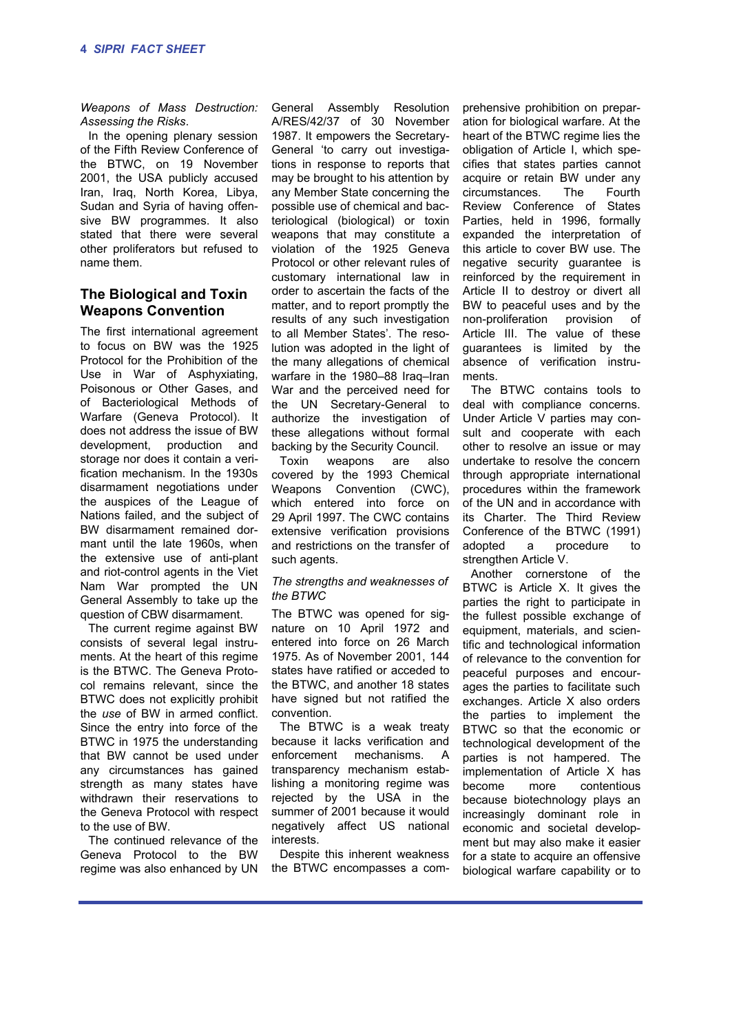*Weapons of Mass Destruction: Assessing the Risks*.

In the opening plenary session of the Fifth Review Conference of the BTWC, on 19 November 2001, the USA publicly accused Iran, Iraq, North Korea, Libya, Sudan and Syria of having offensive BW programmes. It also stated that there were several other proliferators but refused to name them.

# **The Biological and Toxin Weapons Convention**

The first international agreement to focus on BW was the 1925 Protocol for the Prohibition of the Use in War of Asphyxiating, Poisonous or Other Gases, and of Bacteriological Methods of Warfare (Geneva Protocol). It does not address the issue of BW development, production and storage nor does it contain a verification mechanism. In the 1930s disarmament negotiations under the auspices of the League of Nations failed, and the subject of BW disarmament remained dormant until the late 1960s, when the extensive use of anti-plant and riot-control agents in the Viet Nam War prompted the UN General Assembly to take up the question of CBW disarmament.

The current regime against BW consists of several legal instruments. At the heart of this regime is the BTWC. The Geneva Protocol remains relevant, since the BTWC does not explicitly prohibit the *use* of BW in armed conflict. Since the entry into force of the BTWC in 1975 the understanding that BW cannot be used under any circumstances has gained strength as many states have withdrawn their reservations to the Geneva Protocol with respect to the use of BW.

The continued relevance of the Geneva Protocol to the BW regime was also enhanced by UN General Assembly Resolution A/RES/42/37 of 30 November 1987. It empowers the Secretary-General 'to carry out investigations in response to reports that may be brought to his attention by any Member State concerning the possible use of chemical and bacteriological (biological) or toxin weapons that may constitute a violation of the 1925 Geneva Protocol or other relevant rules of customary international law in order to ascertain the facts of the matter, and to report promptly the results of any such investigation to all Member States'. The resolution was adopted in the light of the many allegations of chemical warfare in the 1980–88 Iraq–Iran War and the perceived need for the UN Secretary-General to authorize the investigation of these allegations without formal backing by the Security Council.

Toxin weapons are also covered by the 1993 Chemical Weapons Convention (CWC), which entered into force on 29 April 1997. The CWC contains extensive verification provisions and restrictions on the transfer of such agents.

#### *The strengths and weaknesses of the BTWC*

The BTWC was opened for signature on 10 April 1972 and entered into force on 26 March 1975. As of November 2001, 144 states have ratified or acceded to the BTWC, and another 18 states have signed but not ratified the convention.

The BTWC is a weak treaty because it lacks verification and enforcement mechanisms. A transparency mechanism establishing a monitoring regime was rejected by the USA in the summer of 2001 because it would negatively affect US national interests.

Despite this inherent weakness the BTWC encompasses a com-

prehensive prohibition on preparation for biological warfare. At the heart of the BTWC regime lies the obligation of Article I, which specifies that states parties cannot acquire or retain BW under any circumstances. The Fourth Review Conference of States Parties, held in 1996, formally expanded the interpretation of this article to cover BW use. The negative security guarantee is reinforced by the requirement in Article II to destroy or divert all BW to peaceful uses and by the non-proliferation provision of Article III. The value of these guarantees is limited by the absence of verification instruments.

The BTWC contains tools to deal with compliance concerns. Under Article V parties may consult and cooperate with each other to resolve an issue or may undertake to resolve the concern through appropriate international procedures within the framework of the UN and in accordance with its Charter. The Third Review Conference of the BTWC (1991) adopted a procedure to strengthen Article V.

Another cornerstone of the BTWC is Article X. It gives the parties the right to participate in the fullest possible exchange of equipment, materials, and scientific and technological information of relevance to the convention for peaceful purposes and encourages the parties to facilitate such exchanges. Article X also orders the parties to implement the BTWC so that the economic or technological development of the parties is not hampered. The implementation of Article X has become more contentious because biotechnology plays an increasingly dominant role in economic and societal development but may also make it easier for a state to acquire an offensive biological warfare capability or to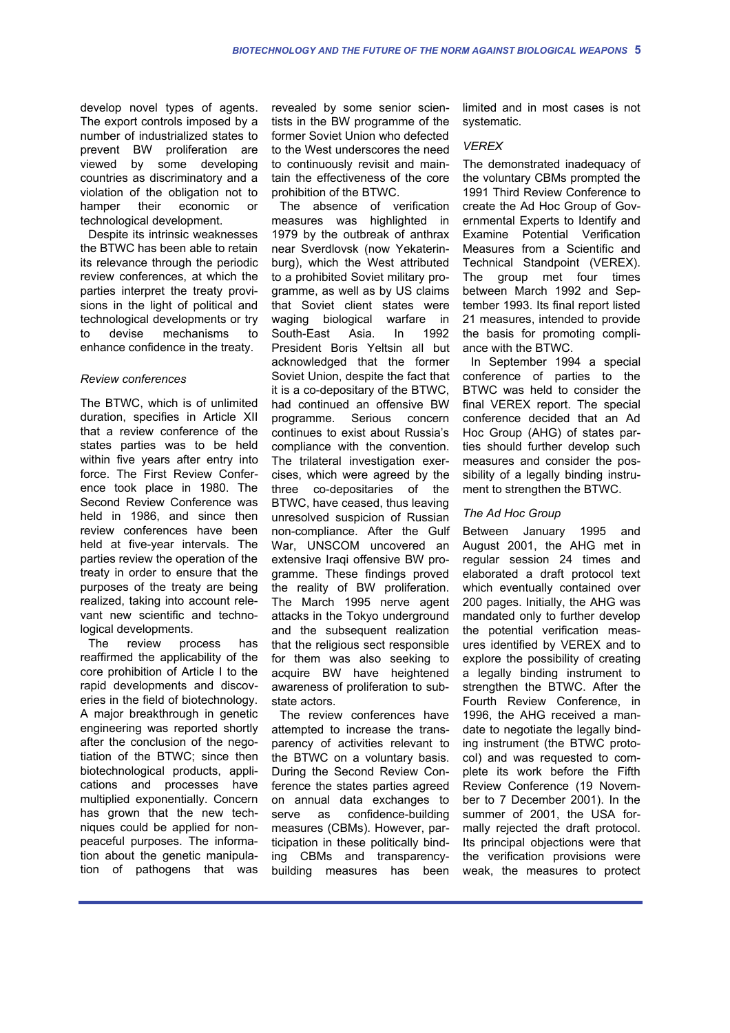develop novel types of agents. The export controls imposed by a number of industrialized states to prevent BW proliferation are viewed by some developing countries as discriminatory and a violation of the obligation not to hamper their economic or technological development.

Despite its intrinsic weaknesses the BTWC has been able to retain its relevance through the periodic review conferences, at which the parties interpret the treaty provisions in the light of political and technological developments or try to devise mechanisms to enhance confidence in the treaty.

#### *Review conferences*

The BTWC, which is of unlimited duration, specifies in Article XII that a review conference of the states parties was to be held within five years after entry into force. The First Review Conference took place in 1980. The Second Review Conference was held in 1986, and since then review conferences have been held at five-year intervals. The parties review the operation of the treaty in order to ensure that the purposes of the treaty are being realized, taking into account relevant new scientific and technological developments.

The review process has reaffirmed the applicability of the core prohibition of Article I to the rapid developments and discoveries in the field of biotechnology. A major breakthrough in genetic engineering was reported shortly after the conclusion of the negotiation of the BTWC; since then biotechnological products, applications and processes have multiplied exponentially. Concern has grown that the new techniques could be applied for nonpeaceful purposes. The information about the genetic manipulation of pathogens that was revealed by some senior scientists in the BW programme of the former Soviet Union who defected to the West underscores the need to continuously revisit and maintain the effectiveness of the core prohibition of the BTWC.

The absence of verification measures was highlighted in 1979 by the outbreak of anthrax near Sverdlovsk (now Yekaterinburg), which the West attributed to a prohibited Soviet military programme, as well as by US claims that Soviet client states were waging biological warfare in South-East Asia. In 1992 President Boris Yeltsin all but acknowledged that the former Soviet Union, despite the fact that it is a co-depositary of the BTWC, had continued an offensive BW programme. Serious concern continues to exist about Russia's compliance with the convention. The trilateral investigation exercises, which were agreed by the three co-depositaries of the BTWC, have ceased, thus leaving unresolved suspicion of Russian non-compliance. After the Gulf War, UNSCOM uncovered an extensive Iraqi offensive BW programme. These findings proved the reality of BW proliferation. The March 1995 nerve agent attacks in the Tokyo underground and the subsequent realization that the religious sect responsible for them was also seeking to acquire BW have heightened awareness of proliferation to substate actors.

The review conferences have attempted to increase the transparency of activities relevant to the BTWC on a voluntary basis. During the Second Review Conference the states parties agreed on annual data exchanges to serve as confidence-building measures (CBMs). However, participation in these politically binding CBMs and transparencybuilding measures has been

limited and in most cases is not systematic.

#### *VEREX*

The demonstrated inadequacy of the voluntary CBMs prompted the 1991 Third Review Conference to create the Ad Hoc Group of Governmental Experts to Identify and Examine Potential Verification Measures from a Scientific and Technical Standpoint (VEREX). The group met four times between March 1992 and September 1993. Its final report listed 21 measures, intended to provide the basis for promoting compliance with the BTWC.

In September 1994 a special conference of parties to the BTWC was held to consider the final VEREX report. The special conference decided that an Ad Hoc Group (AHG) of states parties should further develop such measures and consider the possibility of a legally binding instrument to strengthen the BTWC.

#### *The Ad Hoc Group*

Between January 1995 and August 2001, the AHG met in regular session 24 times and elaborated a draft protocol text which eventually contained over 200 pages. Initially, the AHG was mandated only to further develop the potential verification measures identified by VEREX and to explore the possibility of creating a legally binding instrument to strengthen the BTWC. After the Fourth Review Conference, in 1996, the AHG received a mandate to negotiate the legally binding instrument (the BTWC protocol) and was requested to complete its work before the Fifth Review Conference (19 November to 7 December 2001). In the summer of 2001, the USA formally rejected the draft protocol. Its principal objections were that the verification provisions were weak, the measures to protect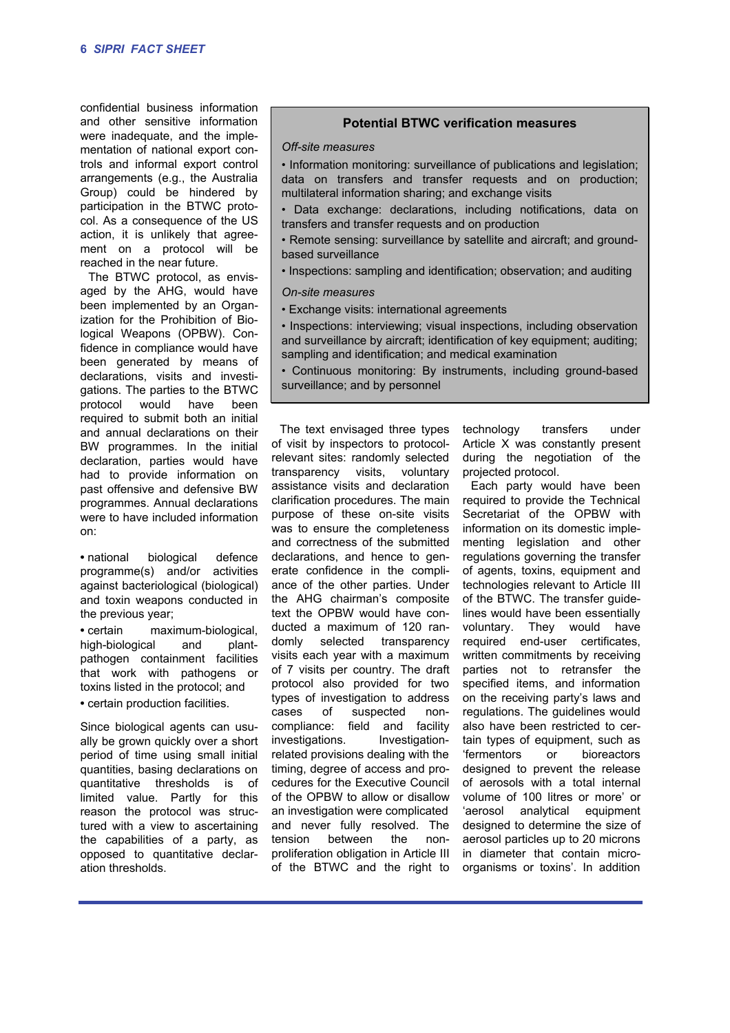confidential business information and other sensitive information were inadequate, and the implementation of national export controls and informal export control arrangements (e.g., the Australia Group) could be hindered by participation in the BTWC protocol. As a consequence of the US action, it is unlikely that agreement on a protocol will be reached in the near future.

The BTWC protocol, as envisaged by the AHG, would have been implemented by an Organization for the Prohibition of Biological Weapons (OPBW). Confidence in compliance would have been generated by means of declarations, visits and investigations. The parties to the BTWC protocol would have been required to submit both an initial and annual declarations on their BW programmes. In the initial declaration, parties would have had to provide information on past offensive and defensive BW programmes. Annual declarations were to have included information on:

**•** national biological defence programme(s) and/or activities against bacteriological (biological) and toxin weapons conducted in the previous year;

**•** certain maximum-biological, high-biological and plantpathogen containment facilities that work with pathogens or toxins listed in the protocol; and **•** certain production facilities.

Since biological agents can usually be grown quickly over a short period of time using small initial quantities, basing declarations on quantitative thresholds is of limited value. Partly for this reason the protocol was structured with a view to ascertaining the capabilities of a party, as opposed to quantitative declaration thresholds.

# **Potential BTWC verification measures**

#### *Off-site measures*

• Information monitoring: surveillance of publications and legislation; data on transfers and transfer requests and on production; multilateral information sharing; and exchange visits

- Data exchange: declarations, including notifications, data on transfers and transfer requests and on production
- Remote sensing: surveillance by satellite and aircraft; and groundbased surveillance
- Inspections: sampling and identification; observation; and auditing

#### *On-site measures*

- Exchange visits: international agreements
- Inspections: interviewing; visual inspections, including observation and surveillance by aircraft; identification of key equipment; auditing; sampling and identification; and medical examination
- Continuous monitoring: By instruments, including ground-based surveillance; and by personnel

The text envisaged three types of visit by inspectors to protocolrelevant sites: randomly selected transparency visits, voluntary assistance visits and declaration clarification procedures. The main purpose of these on-site visits was to ensure the completeness and correctness of the submitted declarations, and hence to generate confidence in the compliance of the other parties. Under the AHG chairman's composite text the OPBW would have conducted a maximum of 120 randomly selected transparency visits each year with a maximum of 7 visits per country. The draft protocol also provided for two types of investigation to address cases of suspected noncompliance: field and facility investigations. Investigationrelated provisions dealing with the timing, degree of access and procedures for the Executive Council of the OPBW to allow or disallow an investigation were complicated and never fully resolved. The tension between the nonproliferation obligation in Article III of the BTWC and the right to

technology transfers under Article X was constantly present during the negotiation of the projected protocol.

Each party would have been required to provide the Technical Secretariat of the OPBW with information on its domestic implementing legislation and other regulations governing the transfer of agents, toxins, equipment and technologies relevant to Article III of the BTWC. The transfer guidelines would have been essentially voluntary. They would have required end-user certificates, written commitments by receiving parties not to retransfer the specified items, and information on the receiving party's laws and regulations. The guidelines would also have been restricted to certain types of equipment, such as 'fermentors or bioreactors designed to prevent the release of aerosols with a total internal volume of 100 litres or more' or 'aerosol analytical equipment designed to determine the size of aerosol particles up to 20 microns in diameter that contain microorganisms or toxins'. In addition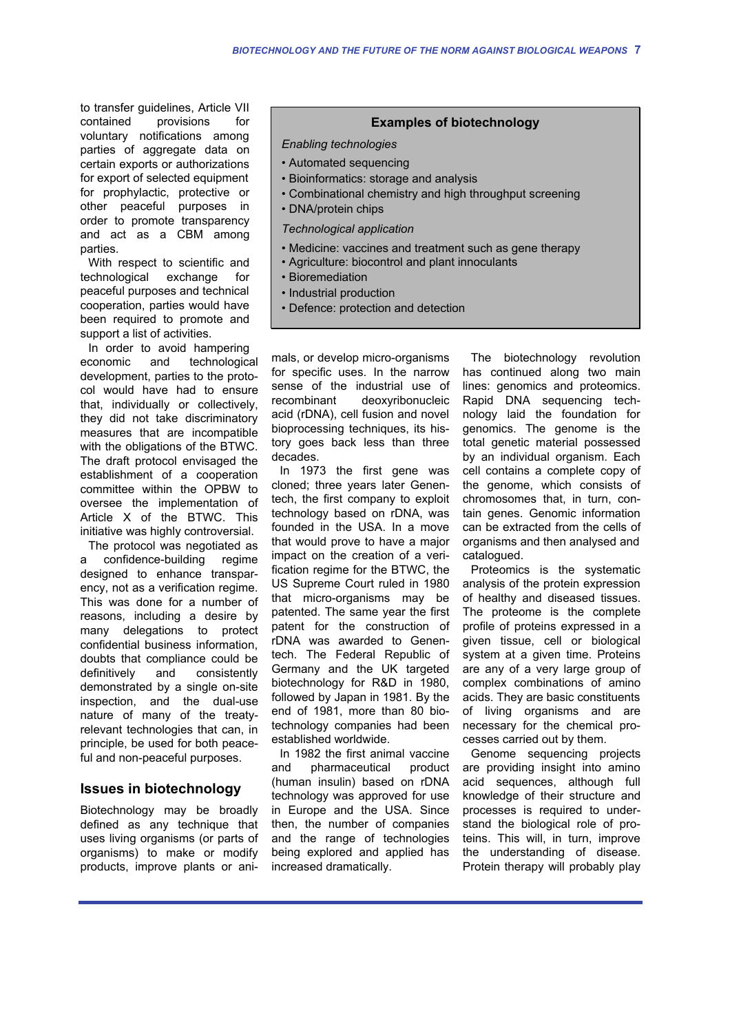to transfer guidelines, Article VII contained provisions for voluntary notifications among parties of aggregate data on certain exports or authorizations for export of selected equipment for prophylactic, protective or other peaceful purposes in order to promote transparency and act as a CBM among parties.

With respect to scientific and technological exchange for peaceful purposes and technical cooperation, parties would have been required to promote and support a list of activities.

In order to avoid hampering economic and technological development, parties to the protocol would have had to ensure that, individually or collectively, they did not take discriminatory measures that are incompatible with the obligations of the BTWC. The draft protocol envisaged the establishment of a cooperation committee within the OPBW to oversee the implementation of Article X of the BTWC. This initiative was highly controversial.

The protocol was negotiated as a confidence-building regime designed to enhance transparency, not as a verification regime. This was done for a number of reasons, including a desire by many delegations to protect confidential business information, doubts that compliance could be<br>definitively and consistently definitively and consistently demonstrated by a single on-site inspection, and the dual-use nature of many of the treatyrelevant technologies that can, in principle, be used for both peaceful and non-peaceful purposes.

# **Issues in biotechnology**

Biotechnology may be broadly defined as any technique that uses living organisms (or parts of organisms) to make or modify products, improve plants or ani-

### **Examples of biotechnology**

#### *Enabling technologies*

- Automated sequencing
- Bioinformatics: storage and analysis
- Combinational chemistry and high throughput screening
- DNA/protein chips

*Technological application*

- Medicine: vaccines and treatment such as gene therapy
- Agriculture: biocontrol and plant innoculants
- Bioremediation
- Industrial production
- Defence: protection and detection

mals, or develop micro-organisms for specific uses. In the narrow sense of the industrial use of recombinant deoxyribonucleic acid (rDNA), cell fusion and novel bioprocessing techniques, its history goes back less than three decades.

In 1973 the first gene was cloned; three years later Genentech, the first company to exploit technology based on rDNA, was founded in the USA. In a move that would prove to have a major impact on the creation of a verification regime for the BTWC, the US Supreme Court ruled in 1980 that micro-organisms may be patented. The same year the first patent for the construction of rDNA was awarded to Genentech. The Federal Republic of Germany and the UK targeted biotechnology for R&D in 1980, followed by Japan in 1981. By the end of 1981, more than 80 biotechnology companies had been established worldwide.

In 1982 the first animal vaccine and pharmaceutical product (human insulin) based on rDNA technology was approved for use in Europe and the USA. Since then, the number of companies and the range of technologies being explored and applied has increased dramatically.

The biotechnology revolution has continued along two main lines: genomics and proteomics. Rapid DNA sequencing technology laid the foundation for genomics. The genome is the total genetic material possessed by an individual organism. Each cell contains a complete copy of the genome, which consists of chromosomes that, in turn, contain genes. Genomic information can be extracted from the cells of organisms and then analysed and catalogued.

Proteomics is the systematic analysis of the protein expression of healthy and diseased tissues. The proteome is the complete profile of proteins expressed in a given tissue, cell or biological system at a given time. Proteins are any of a very large group of complex combinations of amino acids. They are basic constituents of living organisms and are necessary for the chemical processes carried out by them.

Genome sequencing projects are providing insight into amino acid sequences, although full knowledge of their structure and processes is required to understand the biological role of proteins. This will, in turn, improve the understanding of disease. Protein therapy will probably play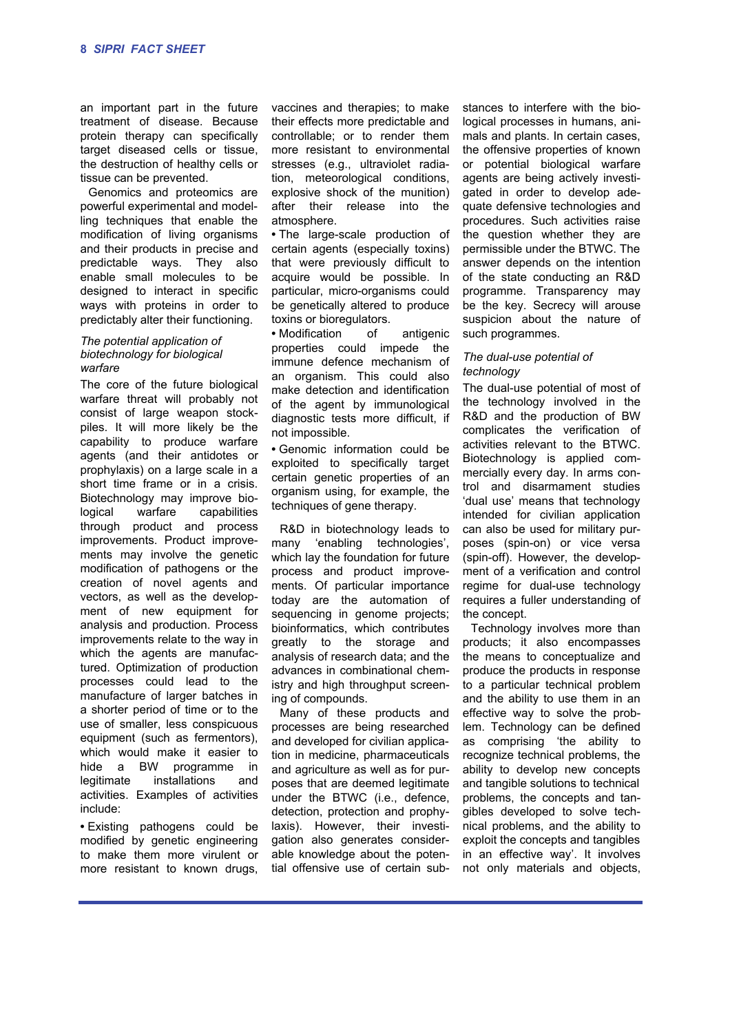an important part in the future treatment of disease. Because protein therapy can specifically target diseased cells or tissue, the destruction of healthy cells or tissue can be prevented.

Genomics and proteomics are powerful experimental and modelling techniques that enable the modification of living organisms and their products in precise and predictable ways. They also enable small molecules to be designed to interact in specific ways with proteins in order to predictably alter their functioning.

#### *The potential application of biotechnology for biological warfare*

The core of the future biological warfare threat will probably not consist of large weapon stockpiles. It will more likely be the capability to produce warfare agents (and their antidotes or prophylaxis) on a large scale in a short time frame or in a crisis. Biotechnology may improve biological warfare capabilities through product and process improvements. Product improvements may involve the genetic modification of pathogens or the creation of novel agents and vectors, as well as the development of new equipment for analysis and production. Process improvements relate to the way in which the agents are manufactured. Optimization of production processes could lead to the manufacture of larger batches in a shorter period of time or to the use of smaller, less conspicuous equipment (such as fermentors), which would make it easier to hide a BW programme in legitimate installations and activities. Examples of activities include:

**•** Existing pathogens could be modified by genetic engineering to make them more virulent or more resistant to known drugs, vaccines and therapies; to make their effects more predictable and controllable; or to render them more resistant to environmental stresses (e.g., ultraviolet radiation, meteorological conditions, explosive shock of the munition) after their release into the atmosphere.

**•** The large-scale production of certain agents (especially toxins) that were previously difficult to acquire would be possible. In particular, micro-organisms could be genetically altered to produce toxins or bioregulators.

**•** Modification of antigenic properties could impede the immune defence mechanism of an organism. This could also make detection and identification of the agent by immunological diagnostic tests more difficult, if not impossible.

**•** Genomic information could be exploited to specifically target certain genetic properties of an organism using, for example, the techniques of gene therapy.

R&D in biotechnology leads to many 'enabling technologies', which lay the foundation for future process and product improvements. Of particular importance today are the automation of sequencing in genome projects; bioinformatics, which contributes greatly to the storage and analysis of research data; and the advances in combinational chemistry and high throughput screening of compounds.

Many of these products and processes are being researched and developed for civilian application in medicine, pharmaceuticals and agriculture as well as for purposes that are deemed legitimate under the BTWC (i.e., defence, detection, protection and prophylaxis). However, their investigation also generates considerable knowledge about the potential offensive use of certain sub-

stances to interfere with the biological processes in humans, animals and plants. In certain cases, the offensive properties of known or potential biological warfare agents are being actively investigated in order to develop adequate defensive technologies and procedures. Such activities raise the question whether they are permissible under the BTWC. The answer depends on the intention of the state conducting an R&D programme. Transparency may be the key. Secrecy will arouse suspicion about the nature of such programmes.

#### *The dual-use potential of technology*

The dual-use potential of most of the technology involved in the R&D and the production of BW complicates the verification of activities relevant to the BTWC. Biotechnology is applied commercially every day. In arms control and disarmament studies 'dual use' means that technology intended for civilian application can also be used for military purposes (spin-on) or vice versa (spin-off). However, the development of a verification and control regime for dual-use technology requires a fuller understanding of the concept.

Technology involves more than products; it also encompasses the means to conceptualize and produce the products in response to a particular technical problem and the ability to use them in an effective way to solve the problem. Technology can be defined as comprising 'the ability to recognize technical problems, the ability to develop new concepts and tangible solutions to technical problems, the concepts and tangibles developed to solve technical problems, and the ability to exploit the concepts and tangibles in an effective way'. It involves not only materials and objects,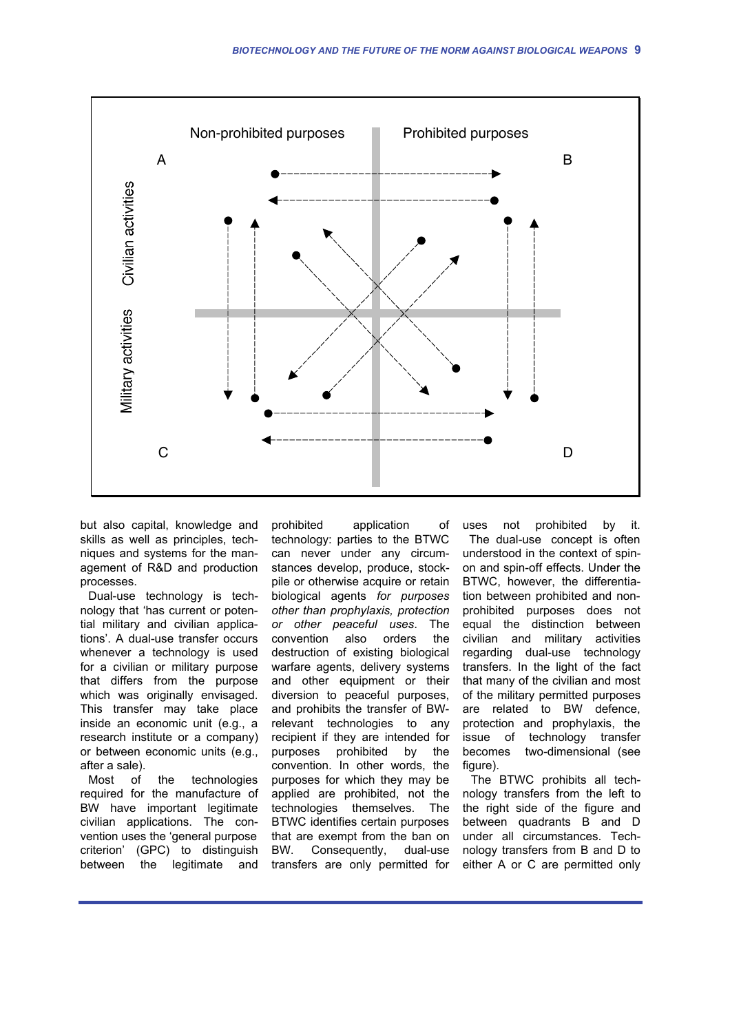

but also capital, knowledge and skills as well as principles, techniques and systems for the management of R&D and production processes.

Dual-use technology is technology that 'has current or potential military and civilian applications'. A dual-use transfer occurs whenever a technology is used for a civilian or military purpose that differs from the purpose which was originally envisaged. This transfer may take place inside an economic unit (e.g., a research institute or a company) or between economic units (e.g., after a sale).

Most of the technologies required for the manufacture of BW have important legitimate civilian applications. The convention uses the 'general purpose criterion' (GPC) to distinguish between the legitimate and

prohibited application of technology: parties to the BTWC can never under any circumstances develop, produce, stockpile or otherwise acquire or retain biological agents *for purposes other than prophylaxis, protection or other peaceful uses*. The convention also orders the destruction of existing biological warfare agents, delivery systems and other equipment or their diversion to peaceful purposes, and prohibits the transfer of BWrelevant technologies to any recipient if they are intended for purposes prohibited by the convention. In other words, the purposes for which they may be applied are prohibited, not the technologies themselves. The BTWC identifies certain purposes that are exempt from the ban on BW. Consequently, dual-use transfers are only permitted for

uses not prohibited by it. The dual-use concept is often understood in the context of spinon and spin-off effects. Under the BTWC, however, the differentiation between prohibited and nonprohibited purposes does not equal the distinction between civilian and military activities regarding dual-use technology transfers. In the light of the fact that many of the civilian and most of the military permitted purposes are related to BW defence, protection and prophylaxis, the issue of technology transfer becomes two-dimensional (see figure).

The BTWC prohibits all technology transfers from the left to the right side of the figure and between quadrants B and D under all circumstances. Technology transfers from B and D to either A or C are permitted only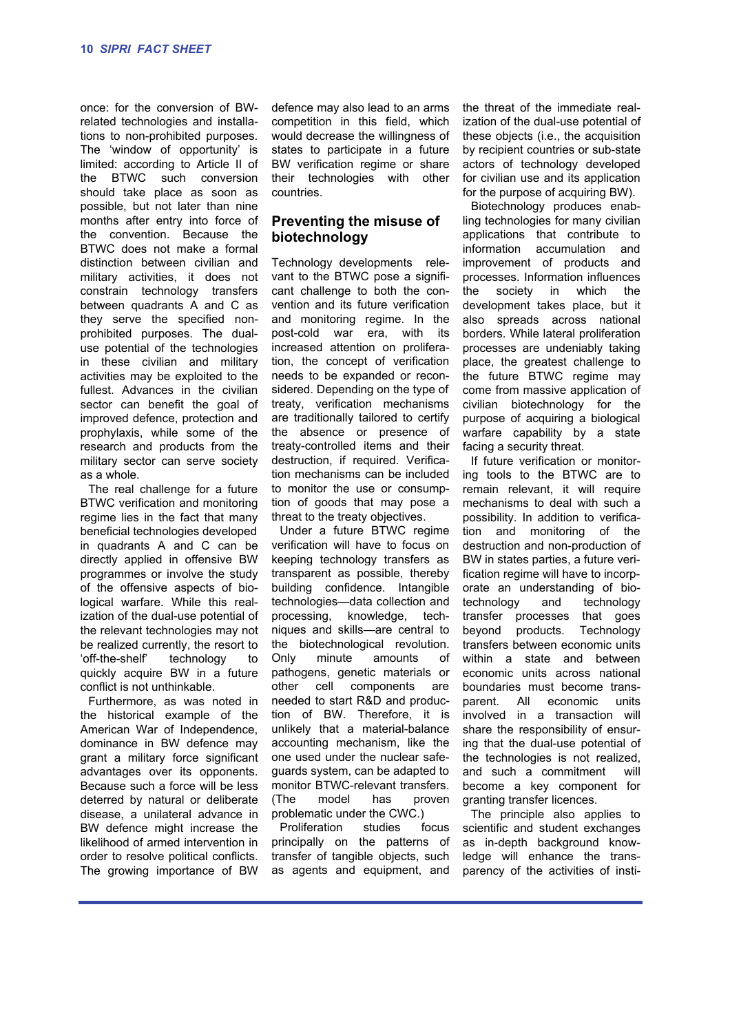once: for the conversion of BWrelated technologies and installations to non-prohibited purposes. The 'window of opportunity' is limited: according to Article II of the BTWC such conversion should take place as soon as possible, but not later than nine months after entry into force of the convention. Because the BTWC does not make a formal distinction between civilian and military activities, it does not constrain technology transfers between quadrants A and C as they serve the specified nonprohibited purposes. The dualuse potential of the technologies in these civilian and military activities may be exploited to the fullest. Advances in the civilian sector can benefit the goal of improved defence, protection and prophylaxis, while some of the research and products from the military sector can serve society as a whole.

The real challenge for a future BTWC verification and monitoring regime lies in the fact that many beneficial technologies developed in quadrants A and C can be directly applied in offensive BW programmes or involve the study of the offensive aspects of biological warfare. While this realization of the dual-use potential of the relevant technologies may not be realized currently, the resort to 'off-the-shelf' technology to quickly acquire BW in a future conflict is not unthinkable.

Furthermore, as was noted in the historical example of the American War of Independence, dominance in BW defence may grant a military force significant advantages over its opponents. Because such a force will be less deterred by natural or deliberate disease, a unilateral advance in BW defence might increase the likelihood of armed intervention in order to resolve political conflicts. The growing importance of BW defence may also lead to an arms competition in this field, which would decrease the willingness of states to participate in a future BW verification regime or share their technologies with other countries.

# **Preventing the misuse of biotechnology**

Technology developments relevant to the BTWC pose a significant challenge to both the convention and its future verification and monitoring regime. In the post-cold war era, with its increased attention on proliferation, the concept of verification needs to be expanded or reconsidered. Depending on the type of treaty, verification mechanisms are traditionally tailored to certify the absence or presence of treaty-controlled items and their destruction, if required. Verification mechanisms can be included to monitor the use or consumption of goods that may pose a threat to the treaty objectives.

Under a future BTWC regime verification will have to focus on keeping technology transfers as transparent as possible, thereby building confidence. Intangible technologies—data collection and processing, knowledge, techniques and skills—are central to the biotechnological revolution. Only minute amounts of pathogens, genetic materials or other cell components are needed to start R&D and production of BW. Therefore, it is unlikely that a material-balance accounting mechanism, like the one used under the nuclear safeguards system, can be adapted to monitor BTWC-relevant transfers. (The model has proven problematic under the CWC.)

Proliferation studies focus principally on the patterns of transfer of tangible objects, such as agents and equipment, and the threat of the immediate realization of the dual-use potential of these objects (i.e., the acquisition by recipient countries or sub-state actors of technology developed for civilian use and its application for the purpose of acquiring BW).

Biotechnology produces enabling technologies for many civilian applications that contribute to information accumulation and improvement of products and processes. Information influences the society in which the development takes place, but it also spreads across national borders. While lateral proliferation processes are undeniably taking place, the greatest challenge to the future BTWC regime may come from massive application of civilian biotechnology for the purpose of acquiring a biological warfare capability by a state facing a security threat.

If future verification or monitoring tools to the BTWC are to remain relevant, it will require mechanisms to deal with such a possibility. In addition to verification and monitoring of the destruction and non-production of BW in states parties, a future verification regime will have to incorporate an understanding of biotechnology and technology transfer processes that goes beyond products. Technology transfers between economic units within a state and between economic units across national boundaries must become transparent. All economic units involved in a transaction will share the responsibility of ensuring that the dual-use potential of the technologies is not realized, and such a commitment will become a key component for granting transfer licences.

The principle also applies to scientific and student exchanges as in-depth background knowledge will enhance the transparency of the activities of insti-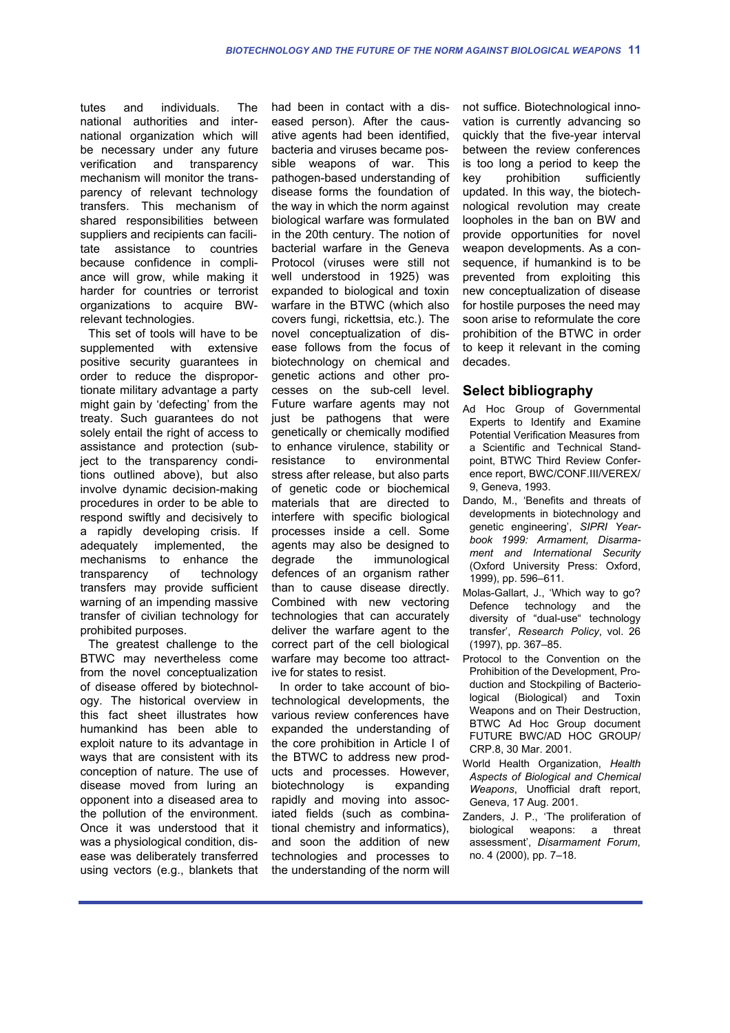tutes and individuals. The national authorities and international organization which will be necessary under any future verification and transparency mechanism will monitor the transparency of relevant technology transfers. This mechanism of shared responsibilities between suppliers and recipients can facilitate assistance to countries because confidence in compliance will grow, while making it harder for countries or terrorist organizations to acquire BWrelevant technologies.

This set of tools will have to be supplemented with extensive positive security guarantees in order to reduce the disproportionate military advantage a party might gain by 'defecting' from the treaty. Such guarantees do not solely entail the right of access to assistance and protection (subject to the transparency conditions outlined above), but also involve dynamic decision-making procedures in order to be able to respond swiftly and decisively to a rapidly developing crisis. If adequately implemented, the mechanisms to enhance the transparency of technology transfers may provide sufficient warning of an impending massive transfer of civilian technology for prohibited purposes.

The greatest challenge to the BTWC may nevertheless come from the novel conceptualization of disease offered by biotechnology. The historical overview in this fact sheet illustrates how humankind has been able to exploit nature to its advantage in ways that are consistent with its conception of nature. The use of disease moved from luring an opponent into a diseased area to the pollution of the environment. Once it was understood that it was a physiological condition, disease was deliberately transferred using vectors (e.g., blankets that had been in contact with a diseased person). After the causative agents had been identified, bacteria and viruses became possible weapons of war. This pathogen-based understanding of disease forms the foundation of the way in which the norm against biological warfare was formulated in the 20th century. The notion of bacterial warfare in the Geneva Protocol (viruses were still not well understood in 1925) was expanded to biological and toxin warfare in the BTWC (which also covers fungi, rickettsia, etc.). The novel conceptualization of disease follows from the focus of biotechnology on chemical and genetic actions and other processes on the sub-cell level. Future warfare agents may not just be pathogens that were genetically or chemically modified to enhance virulence, stability or resistance to environmental stress after release, but also parts of genetic code or biochemical materials that are directed to interfere with specific biological processes inside a cell. Some agents may also be designed to degrade the immunological defences of an organism rather than to cause disease directly. Combined with new vectoring technologies that can accurately deliver the warfare agent to the correct part of the cell biological warfare may become too attractive for states to resist.

In order to take account of biotechnological developments, the various review conferences have expanded the understanding of the core prohibition in Article I of the BTWC to address new products and processes. However, biotechnology is expanding rapidly and moving into associated fields (such as combinational chemistry and informatics), and soon the addition of new technologies and processes to the understanding of the norm will not suffice. Biotechnological innovation is currently advancing so quickly that the five-year interval between the review conferences is too long a period to keep the key prohibition sufficiently updated. In this way, the biotechnological revolution may create loopholes in the ban on BW and provide opportunities for novel weapon developments. As a consequence, if humankind is to be prevented from exploiting this new conceptualization of disease for hostile purposes the need may soon arise to reformulate the core prohibition of the BTWC in order to keep it relevant in the coming decades.

# **Select bibliography**

- Ad Hoc Group of Governmental Experts to Identify and Examine Potential Verification Measures from a Scientific and Technical Standpoint, BTWC Third Review Conference report, BWC/CONF.III/VEREX/ 9, Geneva, 1993.
- Dando, M., 'Benefits and threats of developments in biotechnology and genetic engineering', *SIPRI Yearbook 1999: Armament, Disarmament and International Security* (Oxford University Press: Oxford, 1999), pp. 596–611.
- Molas-Gallart, J., 'Which way to go? Defence technology and the diversity of "dual-use" technology transfer', *Research Policy*, vol. 26 (1997), pp. 367–85.
- Protocol to the Convention on the Prohibition of the Development, Production and Stockpiling of Bacteriological (Biological) and Toxin Weapons and on Their Destruction, BTWC Ad Hoc Group document FUTURE BWC/AD HOC GROUP/ CRP.8, 30 Mar. 2001.
- World Health Organization, *Health Aspects of Biological and Chemical Weapons*, Unofficial draft report, Geneva, 17 Aug. 2001.
- Zanders, J. P., 'The proliferation of biological weapons: a threat assessment', *Disarmament Forum*, no. 4 (2000), pp. 7–18.